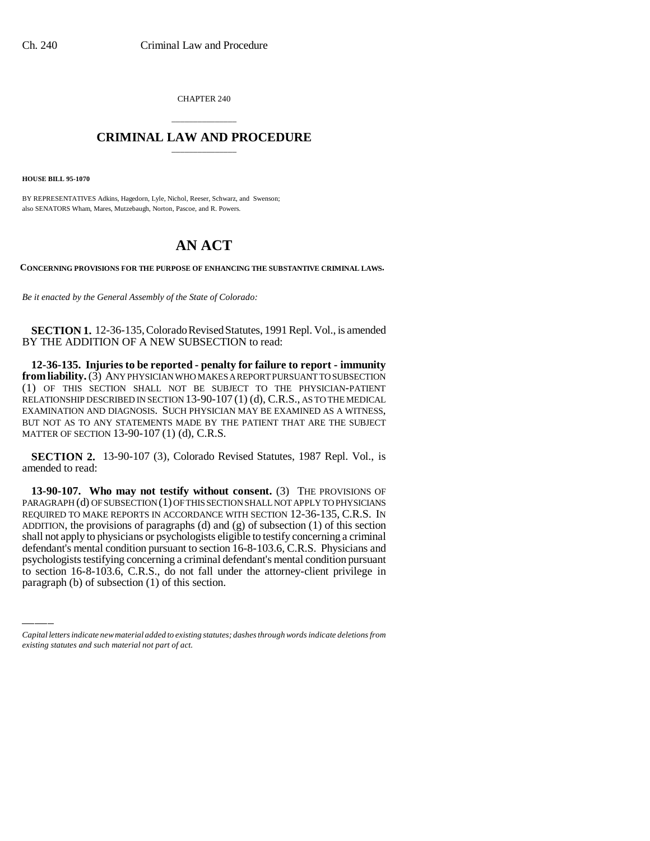CHAPTER 240

## \_\_\_\_\_\_\_\_\_\_\_\_\_\_\_ **CRIMINAL LAW AND PROCEDURE** \_\_\_\_\_\_\_\_\_\_\_\_\_\_\_

**HOUSE BILL 95-1070**

BY REPRESENTATIVES Adkins, Hagedorn, Lyle, Nichol, Reeser, Schwarz, and Swenson; also SENATORS Wham, Mares, Mutzebaugh, Norton, Pascoe, and R. Powers.

# **AN ACT**

**CONCERNING PROVISIONS FOR THE PURPOSE OF ENHANCING THE SUBSTANTIVE CRIMINAL LAWS.**

*Be it enacted by the General Assembly of the State of Colorado:*

**SECTION 1.** 12-36-135, Colorado Revised Statutes, 1991 Repl. Vol., is amended BY THE ADDITION OF A NEW SUBSECTION to read:

**12-36-135. Injuries to be reported - penalty for failure to report - immunity from liability.** (3) ANY PHYSICIAN WHO MAKES A REPORT PURSUANT TO SUBSECTION (1) OF THIS SECTION SHALL NOT BE SUBJECT TO THE PHYSICIAN-PATIENT RELATIONSHIP DESCRIBED IN SECTION 13-90-107 (1) (d), C.R.S., AS TO THE MEDICAL EXAMINATION AND DIAGNOSIS. SUCH PHYSICIAN MAY BE EXAMINED AS A WITNESS, BUT NOT AS TO ANY STATEMENTS MADE BY THE PATIENT THAT ARE THE SUBJECT MATTER OF SECTION 13-90-107 (1) (d), C.R.S.

**SECTION 2.** 13-90-107 (3), Colorado Revised Statutes, 1987 Repl. Vol., is amended to read:

defendant's mental condition pursuant to section 16-8-103.6, C.R.S. Physicians and **13-90-107. Who may not testify without consent.** (3) THE PROVISIONS OF PARAGRAPH (d) OF SUBSECTION (1) OF THIS SECTION SHALL NOT APPLY TO PHYSICIANS REQUIRED TO MAKE REPORTS IN ACCORDANCE WITH SECTION 12-36-135, C.R.S. IN ADDITION, the provisions of paragraphs (d) and (g) of subsection (1) of this section shall not apply to physicians or psychologists eligible to testify concerning a criminal psychologists testifying concerning a criminal defendant's mental condition pursuant to section 16-8-103.6, C.R.S., do not fall under the attorney-client privilege in paragraph (b) of subsection (1) of this section.

*Capital letters indicate new material added to existing statutes; dashes through words indicate deletions from existing statutes and such material not part of act.*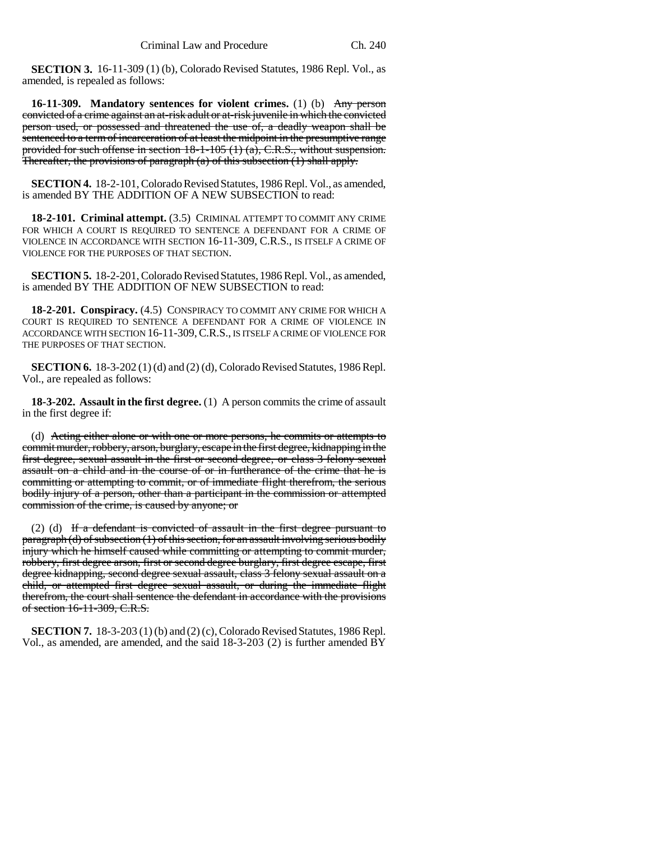**SECTION 3.** 16-11-309 (1) (b), Colorado Revised Statutes, 1986 Repl. Vol., as amended, is repealed as follows:

**16-11-309. Mandatory sentences for violent crimes.** (1) (b) Any person convicted of a crime against an at-risk adult or at-risk juvenile in which the convicted person used, or possessed and threatened the use of, a deadly weapon shall be sentenced to a term of incarceration of at least the midpoint in the presumptive range provided for such offense in section  $18-1-105(1)$  (a), C.R.S., without suspension. Thereafter, the provisions of paragraph (a) of this subsection (1) shall apply.

**SECTION 4.** 18-2-101, Colorado Revised Statutes, 1986 Repl. Vol., as amended, is amended BY THE ADDITION OF A NEW SUBSECTION to read:

**18-2-101. Criminal attempt.** (3.5) CRIMINAL ATTEMPT TO COMMIT ANY CRIME FOR WHICH A COURT IS REQUIRED TO SENTENCE A DEFENDANT FOR A CRIME OF VIOLENCE IN ACCORDANCE WITH SECTION 16-11-309, C.R.S., IS ITSELF A CRIME OF VIOLENCE FOR THE PURPOSES OF THAT SECTION.

**SECTION 5.** 18-2-201, Colorado Revised Statutes, 1986 Repl. Vol., as amended, is amended BY THE ADDITION OF NEW SUBSECTION to read:

**18-2-201. Conspiracy.** (4.5) CONSPIRACY TO COMMIT ANY CRIME FOR WHICH A COURT IS REQUIRED TO SENTENCE A DEFENDANT FOR A CRIME OF VIOLENCE IN ACCORDANCE WITH SECTION 16-11-309,C.R.S., IS ITSELF A CRIME OF VIOLENCE FOR THE PURPOSES OF THAT SECTION.

**SECTION 6.** 18-3-202 (1) (d) and (2) (d), Colorado Revised Statutes, 1986 Repl. Vol., are repealed as follows:

**18-3-202. Assault in the first degree.** (1) A person commits the crime of assault in the first degree if:

(d) Acting either alone or with one or more persons, he commits or attempts to commit murder, robbery, arson, burglary, escape in the first degree, kidnapping in the first degree, sexual assault in the first or second degree, or class 3 felony sexual assault on a child and in the course of or in furtherance of the crime that he is committing or attempting to commit, or of immediate flight therefrom, the serious bodily injury of a person, other than a participant in the commission or attempted commission of the crime, is caused by anyone; or

(2) (d) If a defendant is convicted of assault in the first degree pursuant to paragraph (d) of subsection (1) of this section, for an assault involving serious bodily injury which he himself caused while committing or attempting to commit murder, robbery, first degree arson, first or second degree burglary, first degree escape, first degree kidnapping, second degree sexual assault, class 3 felony sexual assault on a child, or attempted first degree sexual assault, or during the immediate flight therefrom, the court shall sentence the defendant in accordance with the provisions of section 16-11-309, C.R.S.

**SECTION 7.** 18-3-203 (1) (b) and (2) (c), Colorado Revised Statutes, 1986 Repl. Vol., as amended, are amended, and the said 18-3-203 (2) is further amended BY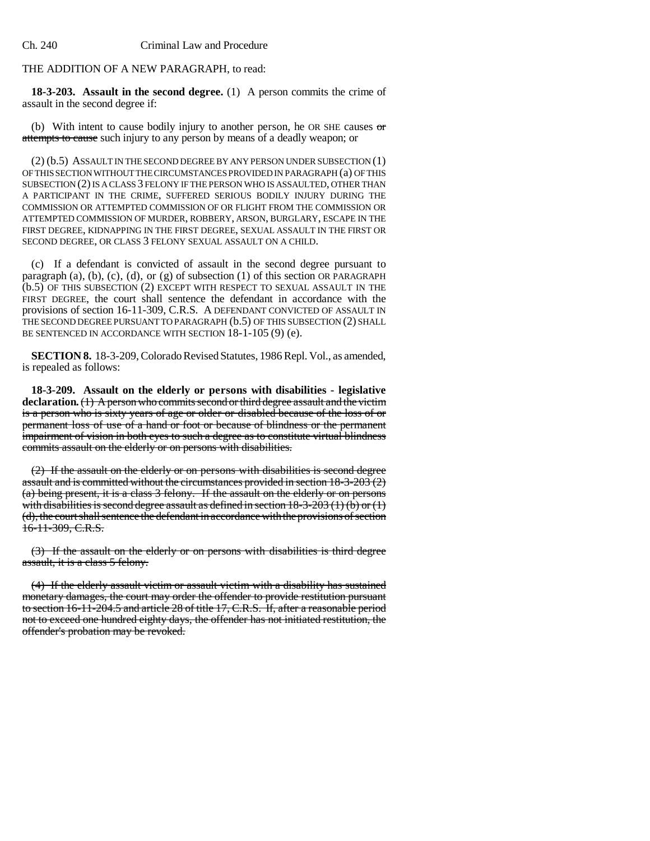### THE ADDITION OF A NEW PARAGRAPH, to read:

**18-3-203. Assault in the second degree.** (1) A person commits the crime of assault in the second degree if:

(b) With intent to cause bodily injury to another person, he OR SHE causes  $\sigma$ attempts to cause such injury to any person by means of a deadly weapon; or

(2) (b.5) ASSAULT IN THE SECOND DEGREE BY ANY PERSON UNDER SUBSECTION (1) OF THIS SECTION WITHOUT THE CIRCUMSTANCES PROVIDED IN PARAGRAPH (a) OF THIS SUBSECTION (2) IS A CLASS 3 FELONY IF THE PERSON WHO IS ASSAULTED, OTHER THAN A PARTICIPANT IN THE CRIME, SUFFERED SERIOUS BODILY INJURY DURING THE COMMISSION OR ATTEMPTED COMMISSION OF OR FLIGHT FROM THE COMMISSION OR ATTEMPTED COMMISSION OF MURDER, ROBBERY, ARSON, BURGLARY, ESCAPE IN THE FIRST DEGREE, KIDNAPPING IN THE FIRST DEGREE, SEXUAL ASSAULT IN THE FIRST OR SECOND DEGREE, OR CLASS 3 FELONY SEXUAL ASSAULT ON A CHILD.

(c) If a defendant is convicted of assault in the second degree pursuant to paragraph (a), (b), (c), (d), or (g) of subsection (1) of this section OR PARAGRAPH (b.5) OF THIS SUBSECTION (2) EXCEPT WITH RESPECT TO SEXUAL ASSAULT IN THE FIRST DEGREE, the court shall sentence the defendant in accordance with the provisions of section 16-11-309, C.R.S. A DEFENDANT CONVICTED OF ASSAULT IN THE SECOND DEGREE PURSUANT TO PARAGRAPH (b.5) OF THIS SUBSECTION (2) SHALL BE SENTENCED IN ACCORDANCE WITH SECTION 18-1-105 (9) (e).

**SECTION 8.** 18-3-209, Colorado Revised Statutes, 1986 Repl. Vol., as amended, is repealed as follows:

**18-3-209. Assault on the elderly or persons with disabilities - legislative declaration.** (1) A person who commits second or third degree assault and the victim is a person who is sixty years of age or older or disabled because of the loss of or permanent loss of use of a hand or foot or because of blindness or the permanent impairment of vision in both eyes to such a degree as to constitute virtual blindness commits assault on the elderly or on persons with disabilities.

(2) If the assault on the elderly or on persons with disabilities is second degree assault and is committed without the circumstances provided in section 18-3-203 (2) (a) being present, it is a class 3 felony. If the assault on the elderly or on persons with disabilities is second degree assault as defined in section  $18-3-203(1)(b)$  or  $(1)$ (d), the court shall sentence the defendant in accordance with the provisions of section 16-11-309, C.R.S.

(3) If the assault on the elderly or on persons with disabilities is third degree assault, it is a class 5 felony.

(4) If the elderly assault victim or assault victim with a disability has sustained monetary damages, the court may order the offender to provide restitution pursuant to section 16-11-204.5 and article 28 of title 17, C.R.S. If, after a reasonable period not to exceed one hundred eighty days, the offender has not initiated restitution, the offender's probation may be revoked.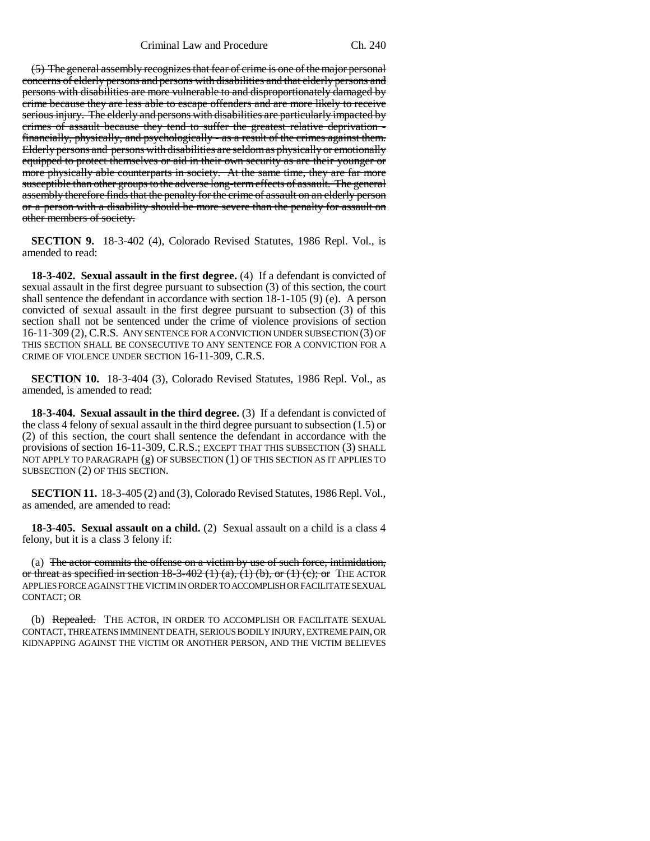(5) The general assembly recognizes that fear of crime is one of the major personal concerns of elderly persons and persons with disabilities and that elderly persons and persons with disabilities are more vulnerable to and disproportionately damaged by crime because they are less able to escape offenders and are more likely to receive serious injury. The elderly and persons with disabilities are particularly impacted by crimes of assault because they tend to suffer the greatest relative deprivation financially, physically, and psychologically - as a result of the crimes against them. Elderly persons and persons with disabilities are seldom as physically or emotionally equipped to protect themselves or aid in their own security as are their younger or more physically able counterparts in society. At the same time, they are far more susceptible than other groups to the adverse long-term effects of assault. The general assembly therefore finds that the penalty for the crime of assault on an elderly person or a person with a disability should be more severe than the penalty for assault on other members of society.

**SECTION 9.** 18-3-402 (4), Colorado Revised Statutes, 1986 Repl. Vol., is amended to read:

**18-3-402. Sexual assault in the first degree.** (4) If a defendant is convicted of sexual assault in the first degree pursuant to subsection (3) of this section, the court shall sentence the defendant in accordance with section 18-1-105 (9) (e). A person convicted of sexual assault in the first degree pursuant to subsection (3) of this section shall not be sentenced under the crime of violence provisions of section 16-11-309 (2), C.R.S. ANY SENTENCE FOR A CONVICTION UNDER SUBSECTION (3) OF THIS SECTION SHALL BE CONSECUTIVE TO ANY SENTENCE FOR A CONVICTION FOR A CRIME OF VIOLENCE UNDER SECTION 16-11-309, C.R.S.

**SECTION 10.** 18-3-404 (3), Colorado Revised Statutes, 1986 Repl. Vol., as amended, is amended to read:

**18-3-404. Sexual assault in the third degree.** (3) If a defendant is convicted of the class 4 felony of sexual assault in the third degree pursuant to subsection (1.5) or (2) of this section, the court shall sentence the defendant in accordance with the provisions of section 16-11-309, C.R.S.; EXCEPT THAT THIS SUBSECTION (3) SHALL NOT APPLY TO PARAGRAPH (g) OF SUBSECTION (1) OF THIS SECTION AS IT APPLIES TO SUBSECTION (2) OF THIS SECTION.

**SECTION 11.** 18-3-405 (2) and (3), Colorado Revised Statutes, 1986 Repl. Vol., as amended, are amended to read:

**18-3-405. Sexual assault on a child.** (2) Sexual assault on a child is a class 4 felony, but it is a class 3 felony if:

(a) The actor commits the offense on a victim by use of such force, intimidation, or threat as specified in section  $18-3-402(1)(a)$ ,  $(1)(b)$ , or  $(1)(c)$ ; or THE ACTOR APPLIES FORCE AGAINST THE VICTIM IN ORDER TO ACCOMPLISH OR FACILITATE SEXUAL CONTACT; OR

(b) Repealed. THE ACTOR, IN ORDER TO ACCOMPLISH OR FACILITATE SEXUAL CONTACT, THREATENS IMMINENT DEATH, SERIOUS BODILY INJURY, EXTREME PAIN, OR KIDNAPPING AGAINST THE VICTIM OR ANOTHER PERSON, AND THE VICTIM BELIEVES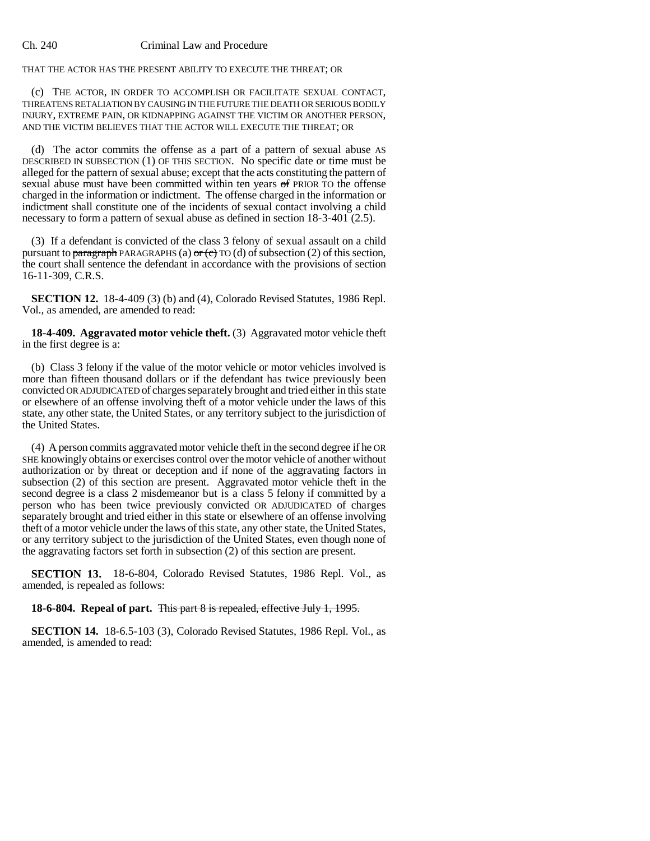#### Ch. 240 Criminal Law and Procedure

THAT THE ACTOR HAS THE PRESENT ABILITY TO EXECUTE THE THREAT; OR

(c) THE ACTOR, IN ORDER TO ACCOMPLISH OR FACILITATE SEXUAL CONTACT, THREATENS RETALIATION BY CAUSING IN THE FUTURE THE DEATH OR SERIOUS BODILY INJURY, EXTREME PAIN, OR KIDNAPPING AGAINST THE VICTIM OR ANOTHER PERSON, AND THE VICTIM BELIEVES THAT THE ACTOR WILL EXECUTE THE THREAT; OR

(d) The actor commits the offense as a part of a pattern of sexual abuse AS DESCRIBED IN SUBSECTION (1) OF THIS SECTION. No specific date or time must be alleged for the pattern of sexual abuse; except that the acts constituting the pattern of sexual abuse must have been committed within ten years of PRIOR TO the offense charged in the information or indictment. The offense charged in the information or indictment shall constitute one of the incidents of sexual contact involving a child necessary to form a pattern of sexual abuse as defined in section 18-3-401 (2.5).

(3) If a defendant is convicted of the class 3 felony of sexual assault on a child pursuant to paragraph PARAGRAPHS (a)  $\sigma$  (c) TO (d) of subsection (2) of this section, the court shall sentence the defendant in accordance with the provisions of section 16-11-309, C.R.S.

**SECTION 12.** 18-4-409 (3) (b) and (4), Colorado Revised Statutes, 1986 Repl. Vol., as amended, are amended to read:

**18-4-409. Aggravated motor vehicle theft.** (3) Aggravated motor vehicle theft in the first degree is a:

(b) Class 3 felony if the value of the motor vehicle or motor vehicles involved is more than fifteen thousand dollars or if the defendant has twice previously been convicted OR ADJUDICATED of charges separately brought and tried either in this state or elsewhere of an offense involving theft of a motor vehicle under the laws of this state, any other state, the United States, or any territory subject to the jurisdiction of the United States.

(4) A person commits aggravated motor vehicle theft in the second degree if he OR SHE knowingly obtains or exercises control over the motor vehicle of another without authorization or by threat or deception and if none of the aggravating factors in subsection (2) of this section are present. Aggravated motor vehicle theft in the second degree is a class 2 misdemeanor but is a class 5 felony if committed by a person who has been twice previously convicted OR ADJUDICATED of charges separately brought and tried either in this state or elsewhere of an offense involving theft of a motor vehicle under the laws of this state, any other state, the United States, or any territory subject to the jurisdiction of the United States, even though none of the aggravating factors set forth in subsection (2) of this section are present.

**SECTION 13.** 18-6-804, Colorado Revised Statutes, 1986 Repl. Vol., as amended, is repealed as follows:

**18-6-804. Repeal of part.** This part 8 is repealed, effective July 1, 1995.

**SECTION 14.** 18-6.5-103 (3), Colorado Revised Statutes, 1986 Repl. Vol., as amended, is amended to read: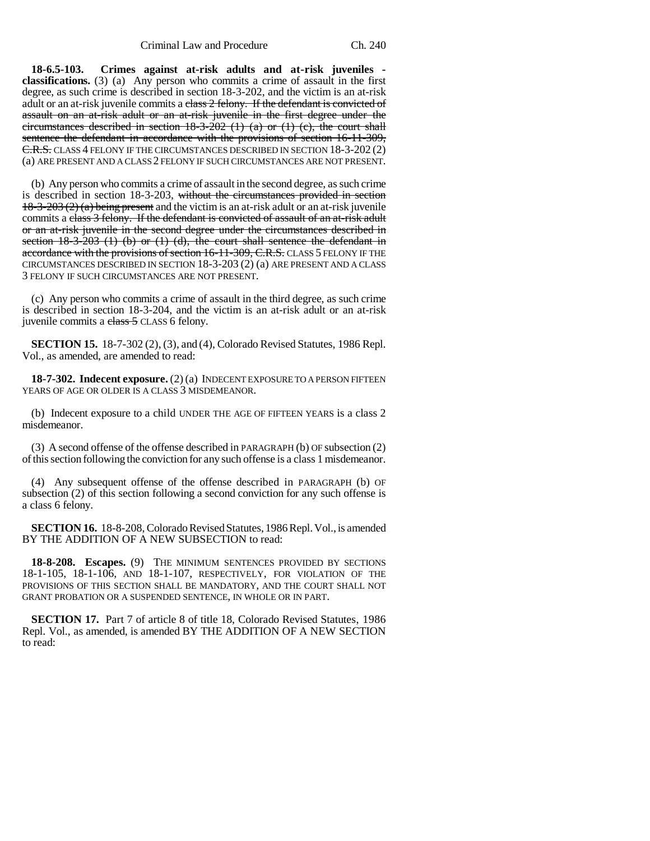**18-6.5-103. Crimes against at-risk adults and at-risk juveniles classifications.** (3) (a) Any person who commits a crime of assault in the first degree, as such crime is described in section 18-3-202, and the victim is an at-risk adult or an at-risk juvenile commits a class 2 felony. If the defendant is convicted of assault on an at-risk adult or an at-risk juvenile in the first degree under the circumstances described in section 18-3-202 (1) (a) or (1) (c), the court shall sentence the defendant in accordance with the provisions of section 16-11-309, C.R.S. CLASS 4 FELONY IF THE CIRCUMSTANCES DESCRIBED IN SECTION 18-3-202 (2) (a) ARE PRESENT AND A CLASS 2 FELONY IF SUCH CIRCUMSTANCES ARE NOT PRESENT.

(b) Any person who commits a crime of assault in the second degree, as such crime is described in section 18-3-203, without the circumstances provided in section  $18-3-203(2)$  (a) being present and the victim is an at-risk adult or an at-risk juvenile commits a class 3 felony. If the defendant is convicted of assault of an at-risk adult or an at-risk juvenile in the second degree under the circumstances described in section  $18-3-203$  (1) (b) or (1) (d), the court shall sentence the defendant in accordance with the provisions of section 16-11-309, C.R.S. CLASS 5 FELONY IF THE CIRCUMSTANCES DESCRIBED IN SECTION 18-3-203 (2) (a) ARE PRESENT AND A CLASS 3 FELONY IF SUCH CIRCUMSTANCES ARE NOT PRESENT.

(c) Any person who commits a crime of assault in the third degree, as such crime is described in section 18-3-204, and the victim is an at-risk adult or an at-risk juvenile commits a class 5 CLASS 6 felony.

**SECTION 15.** 18-7-302 (2), (3), and (4), Colorado Revised Statutes, 1986 Repl. Vol., as amended, are amended to read:

**18-7-302. Indecent exposure.** (2) (a) INDECENT EXPOSURE TO A PERSON FIFTEEN YEARS OF AGE OR OLDER IS A CLASS 3 MISDEMEANOR.

(b) Indecent exposure to a child UNDER THE AGE OF FIFTEEN YEARS is a class 2 misdemeanor.

(3) A second offense of the offense described in PARAGRAPH (b) OF subsection (2) of this section following the conviction for any such offense is a class 1 misdemeanor.

(4) Any subsequent offense of the offense described in PARAGRAPH (b) OF subsection (2) of this section following a second conviction for any such offense is a class 6 felony.

**SECTION 16.** 18-8-208, Colorado Revised Statutes, 1986 Repl. Vol., is amended BY THE ADDITION OF A NEW SUBSECTION to read:

**18-8-208. Escapes.** (9) THE MINIMUM SENTENCES PROVIDED BY SECTIONS 18-1-105, 18-1-106, AND 18-1-107, RESPECTIVELY, FOR VIOLATION OF THE PROVISIONS OF THIS SECTION SHALL BE MANDATORY, AND THE COURT SHALL NOT GRANT PROBATION OR A SUSPENDED SENTENCE, IN WHOLE OR IN PART.

**SECTION 17.** Part 7 of article 8 of title 18, Colorado Revised Statutes, 1986 Repl. Vol., as amended, is amended BY THE ADDITION OF A NEW SECTION to read: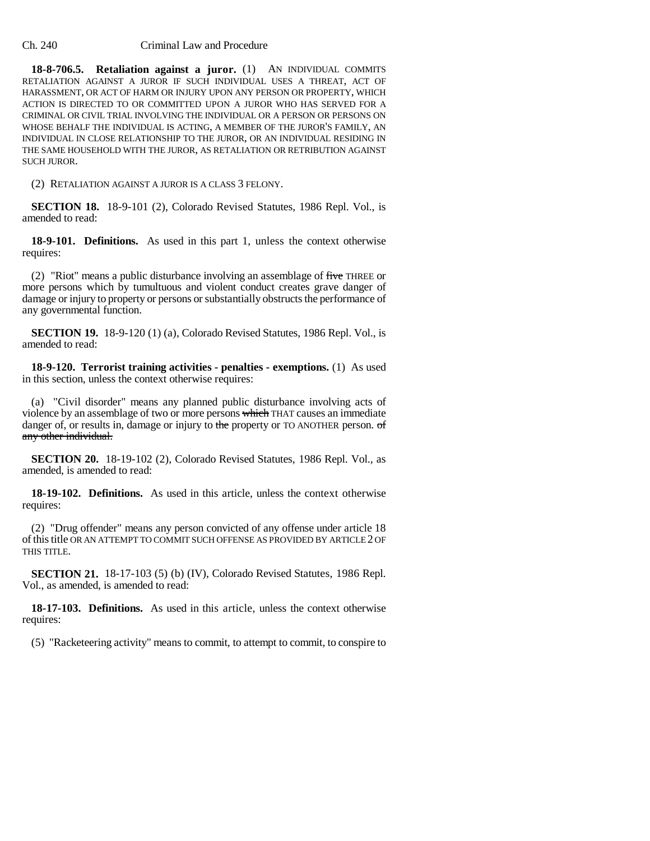#### Ch. 240 Criminal Law and Procedure

**18-8-706.5. Retaliation against a juror.** (1) AN INDIVIDUAL COMMITS RETALIATION AGAINST A JUROR IF SUCH INDIVIDUAL USES A THREAT, ACT OF HARASSMENT, OR ACT OF HARM OR INJURY UPON ANY PERSON OR PROPERTY, WHICH ACTION IS DIRECTED TO OR COMMITTED UPON A JUROR WHO HAS SERVED FOR A CRIMINAL OR CIVIL TRIAL INVOLVING THE INDIVIDUAL OR A PERSON OR PERSONS ON WHOSE BEHALF THE INDIVIDUAL IS ACTING, A MEMBER OF THE JUROR'S FAMILY, AN INDIVIDUAL IN CLOSE RELATIONSHIP TO THE JUROR, OR AN INDIVIDUAL RESIDING IN THE SAME HOUSEHOLD WITH THE JUROR, AS RETALIATION OR RETRIBUTION AGAINST SUCH JUROR.

(2) RETALIATION AGAINST A JUROR IS A CLASS 3 FELONY.

**SECTION 18.** 18-9-101 (2), Colorado Revised Statutes, 1986 Repl. Vol., is amended to read:

**18-9-101. Definitions.** As used in this part 1, unless the context otherwise requires:

(2) "Riot" means a public disturbance involving an assemblage of  $five$  THREE or more persons which by tumultuous and violent conduct creates grave danger of damage or injury to property or persons or substantially obstructs the performance of any governmental function.

**SECTION 19.** 18-9-120 (1) (a), Colorado Revised Statutes, 1986 Repl. Vol., is amended to read:

**18-9-120. Terrorist training activities - penalties - exemptions.** (1) As used in this section, unless the context otherwise requires:

(a) "Civil disorder" means any planned public disturbance involving acts of violence by an assemblage of two or more persons which THAT causes an immediate danger of, or results in, damage or injury to the property or TO ANOTHER person. of any other individual.

**SECTION 20.** 18-19-102 (2), Colorado Revised Statutes, 1986 Repl. Vol., as amended, is amended to read:

**18-19-102. Definitions.** As used in this article, unless the context otherwise requires:

(2) "Drug offender" means any person convicted of any offense under article 18 of this title OR AN ATTEMPT TO COMMIT SUCH OFFENSE AS PROVIDED BY ARTICLE 2 OF THIS TITLE.

**SECTION 21.** 18-17-103 (5) (b) (IV), Colorado Revised Statutes, 1986 Repl. Vol., as amended, is amended to read:

**18-17-103. Definitions.** As used in this article, unless the context otherwise requires:

(5) "Racketeering activity" means to commit, to attempt to commit, to conspire to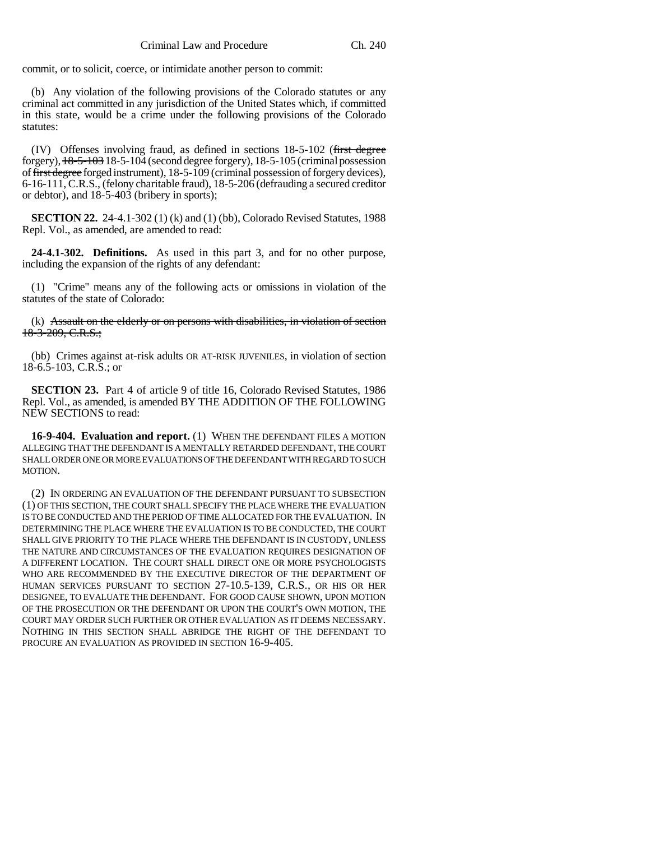commit, or to solicit, coerce, or intimidate another person to commit:

(b) Any violation of the following provisions of the Colorado statutes or any criminal act committed in any jurisdiction of the United States which, if committed in this state, would be a crime under the following provisions of the Colorado statutes:

(IV) Offenses involving fraud, as defined in sections 18-5-102 (first degree forgery),  $18-5-103$  18-5-104 (second degree forgery), 18-5-105 (criminal possession of first degree forged instrument), 18-5-109 (criminal possession of forgery devices), 6-16-111, C.R.S., (felony charitable fraud), 18-5-206 (defrauding a secured creditor or debtor), and 18-5-403 (bribery in sports);

**SECTION 22.** 24-4.1-302 (1) (k) and (1) (bb), Colorado Revised Statutes, 1988 Repl. Vol., as amended, are amended to read:

**24-4.1-302. Definitions.** As used in this part 3, and for no other purpose, including the expansion of the rights of any defendant:

(1) "Crime" means any of the following acts or omissions in violation of the statutes of the state of Colorado:

(k) Assault on the elderly or on persons with disabilities, in violation of section 18-3-209, C.R.S.;

(bb) Crimes against at-risk adults OR AT-RISK JUVENILES, in violation of section 18-6.5-103, C.R.S.; or

**SECTION 23.** Part 4 of article 9 of title 16, Colorado Revised Statutes, 1986 Repl. Vol., as amended, is amended BY THE ADDITION OF THE FOLLOWING NEW SECTIONS to read:

**16-9-404. Evaluation and report.** (1) WHEN THE DEFENDANT FILES A MOTION ALLEGING THAT THE DEFENDANT IS A MENTALLY RETARDED DEFENDANT, THE COURT SHALL ORDER ONE OR MORE EVALUATIONS OF THE DEFENDANT WITH REGARD TO SUCH MOTION.

(2) IN ORDERING AN EVALUATION OF THE DEFENDANT PURSUANT TO SUBSECTION (1) OF THIS SECTION, THE COURT SHALL SPECIFY THE PLACE WHERE THE EVALUATION IS TO BE CONDUCTED AND THE PERIOD OF TIME ALLOCATED FOR THE EVALUATION. IN DETERMINING THE PLACE WHERE THE EVALUATION IS TO BE CONDUCTED, THE COURT SHALL GIVE PRIORITY TO THE PLACE WHERE THE DEFENDANT IS IN CUSTODY, UNLESS THE NATURE AND CIRCUMSTANCES OF THE EVALUATION REQUIRES DESIGNATION OF A DIFFERENT LOCATION. THE COURT SHALL DIRECT ONE OR MORE PSYCHOLOGISTS WHO ARE RECOMMENDED BY THE EXECUTIVE DIRECTOR OF THE DEPARTMENT OF HUMAN SERVICES PURSUANT TO SECTION 27-10.5-139, C.R.S., OR HIS OR HER DESIGNEE, TO EVALUATE THE DEFENDANT. FOR GOOD CAUSE SHOWN, UPON MOTION OF THE PROSECUTION OR THE DEFENDANT OR UPON THE COURT'S OWN MOTION, THE COURT MAY ORDER SUCH FURTHER OR OTHER EVALUATION AS IT DEEMS NECESSARY. NOTHING IN THIS SECTION SHALL ABRIDGE THE RIGHT OF THE DEFENDANT TO PROCURE AN EVALUATION AS PROVIDED IN SECTION 16-9-405.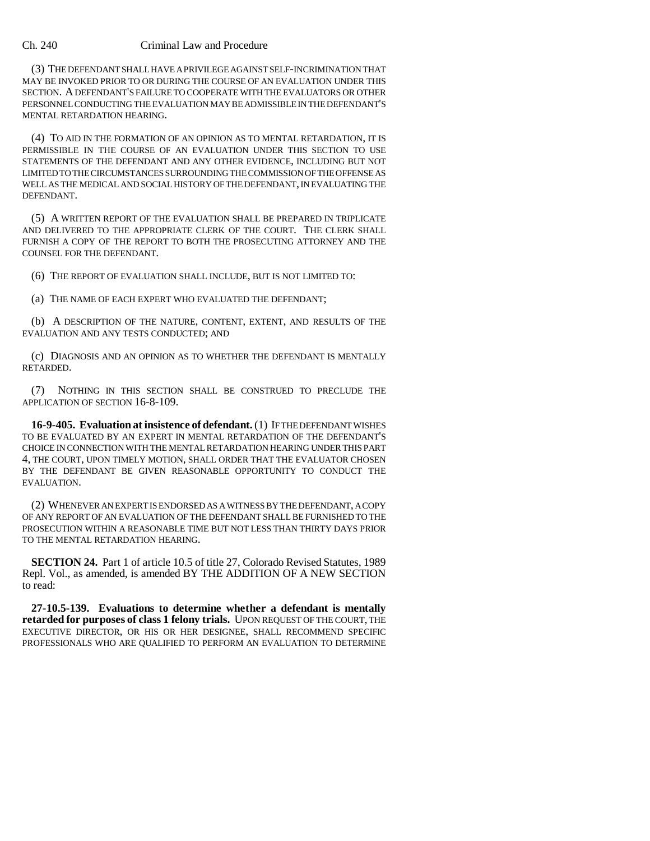#### Ch. 240 Criminal Law and Procedure

(3) THE DEFENDANT SHALL HAVE A PRIVILEGE AGAINST SELF-INCRIMINATION THAT MAY BE INVOKED PRIOR TO OR DURING THE COURSE OF AN EVALUATION UNDER THIS SECTION. A DEFENDANT'S FAILURE TO COOPERATE WITH THE EVALUATORS OR OTHER PERSONNEL CONDUCTING THE EVALUATION MAY BE ADMISSIBLE IN THE DEFENDANT'S MENTAL RETARDATION HEARING.

(4) TO AID IN THE FORMATION OF AN OPINION AS TO MENTAL RETARDATION, IT IS PERMISSIBLE IN THE COURSE OF AN EVALUATION UNDER THIS SECTION TO USE STATEMENTS OF THE DEFENDANT AND ANY OTHER EVIDENCE, INCLUDING BUT NOT LIMITED TO THE CIRCUMSTANCES SURROUNDING THE COMMISSION OF THE OFFENSE AS WELL AS THE MEDICAL AND SOCIAL HISTORY OF THE DEFENDANT, IN EVALUATING THE DEFENDANT.

(5) A WRITTEN REPORT OF THE EVALUATION SHALL BE PREPARED IN TRIPLICATE AND DELIVERED TO THE APPROPRIATE CLERK OF THE COURT. THE CLERK SHALL FURNISH A COPY OF THE REPORT TO BOTH THE PROSECUTING ATTORNEY AND THE COUNSEL FOR THE DEFENDANT.

(6) THE REPORT OF EVALUATION SHALL INCLUDE, BUT IS NOT LIMITED TO:

(a) THE NAME OF EACH EXPERT WHO EVALUATED THE DEFENDANT;

(b) A DESCRIPTION OF THE NATURE, CONTENT, EXTENT, AND RESULTS OF THE EVALUATION AND ANY TESTS CONDUCTED; AND

(c) DIAGNOSIS AND AN OPINION AS TO WHETHER THE DEFENDANT IS MENTALLY RETARDED.

(7) NOTHING IN THIS SECTION SHALL BE CONSTRUED TO PRECLUDE THE APPLICATION OF SECTION 16-8-109.

**16-9-405. Evaluation at insistence of defendant.** (1) IF THE DEFENDANT WISHES TO BE EVALUATED BY AN EXPERT IN MENTAL RETARDATION OF THE DEFENDANT'S CHOICE IN CONNECTION WITH THE MENTAL RETARDATION HEARING UNDER THIS PART 4, THE COURT, UPON TIMELY MOTION, SHALL ORDER THAT THE EVALUATOR CHOSEN BY THE DEFENDANT BE GIVEN REASONABLE OPPORTUNITY TO CONDUCT THE EVALUATION.

(2) WHENEVER AN EXPERT IS ENDORSED AS A WITNESS BY THE DEFENDANT, A COPY OF ANY REPORT OF AN EVALUATION OF THE DEFENDANT SHALL BE FURNISHED TO THE PROSECUTION WITHIN A REASONABLE TIME BUT NOT LESS THAN THIRTY DAYS PRIOR TO THE MENTAL RETARDATION HEARING.

**SECTION 24.** Part 1 of article 10.5 of title 27, Colorado Revised Statutes, 1989 Repl. Vol., as amended, is amended BY THE ADDITION OF A NEW SECTION to read:

**27-10.5-139. Evaluations to determine whether a defendant is mentally retarded for purposes of class 1 felony trials.** UPON REQUEST OF THE COURT, THE EXECUTIVE DIRECTOR, OR HIS OR HER DESIGNEE, SHALL RECOMMEND SPECIFIC PROFESSIONALS WHO ARE QUALIFIED TO PERFORM AN EVALUATION TO DETERMINE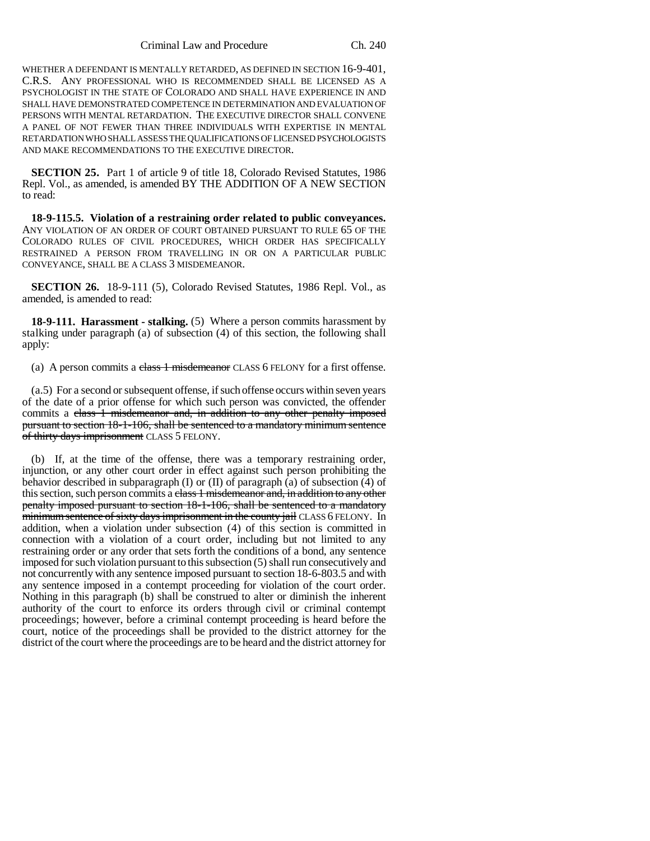WHETHER A DEFENDANT IS MENTALLY RETARDED, AS DEFINED IN SECTION 16-9-401, C.R.S. ANY PROFESSIONAL WHO IS RECOMMENDED SHALL BE LICENSED AS A PSYCHOLOGIST IN THE STATE OF COLORADO AND SHALL HAVE EXPERIENCE IN AND SHALL HAVE DEMONSTRATED COMPETENCE IN DETERMINATION AND EVALUATION OF PERSONS WITH MENTAL RETARDATION. THE EXECUTIVE DIRECTOR SHALL CONVENE A PANEL OF NOT FEWER THAN THREE INDIVIDUALS WITH EXPERTISE IN MENTAL RETARDATION WHO SHALL ASSESS THE QUALIFICATIONS OF LICENSED PSYCHOLOGISTS AND MAKE RECOMMENDATIONS TO THE EXECUTIVE DIRECTOR.

**SECTION 25.** Part 1 of article 9 of title 18, Colorado Revised Statutes, 1986 Repl. Vol., as amended, is amended BY THE ADDITION OF A NEW SECTION to read:

**18-9-115.5. Violation of a restraining order related to public conveyances.** ANY VIOLATION OF AN ORDER OF COURT OBTAINED PURSUANT TO RULE 65 OF THE COLORADO RULES OF CIVIL PROCEDURES, WHICH ORDER HAS SPECIFICALLY RESTRAINED A PERSON FROM TRAVELLING IN OR ON A PARTICULAR PUBLIC CONVEYANCE, SHALL BE A CLASS 3 MISDEMEANOR.

**SECTION 26.** 18-9-111 (5), Colorado Revised Statutes, 1986 Repl. Vol., as amended, is amended to read:

**18-9-111. Harassment - stalking.** (5) Where a person commits harassment by stalking under paragraph (a) of subsection (4) of this section, the following shall apply:

(a) A person commits a class 1 misdemeanor CLASS 6 FELONY for a first offense.

(a.5) For a second or subsequent offense, if such offense occurs within seven years of the date of a prior offense for which such person was convicted, the offender commits a class 1 misdemeanor and, in addition to any other penalty imposed pursuant to section 18-1-106, shall be sentenced to a mandatory minimum sentence of thirty days imprisonment CLASS 5 FELONY.

(b) If, at the time of the offense, there was a temporary restraining order, injunction, or any other court order in effect against such person prohibiting the behavior described in subparagraph (I) or (II) of paragraph (a) of subsection (4) of this section, such person commits a class 1 misdemeanor and, in addition to any other penalty imposed pursuant to section 18-1-106, shall be sentenced to a mandatory minimum sentence of sixty days imprisonment in the county jail CLASS 6 FELONY. In addition, when a violation under subsection (4) of this section is committed in connection with a violation of a court order, including but not limited to any restraining order or any order that sets forth the conditions of a bond, any sentence imposed for such violation pursuant to this subsection (5) shall run consecutively and not concurrently with any sentence imposed pursuant to section 18-6-803.5 and with any sentence imposed in a contempt proceeding for violation of the court order. Nothing in this paragraph (b) shall be construed to alter or diminish the inherent authority of the court to enforce its orders through civil or criminal contempt proceedings; however, before a criminal contempt proceeding is heard before the court, notice of the proceedings shall be provided to the district attorney for the district of the court where the proceedings are to be heard and the district attorney for